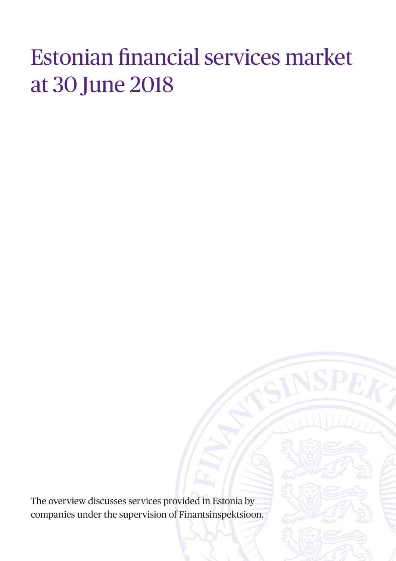# Estonian financial services market at 30 June 2018

The overview discusses services provided in Estonia by companies under the supervision of Finantsinspektsioon.

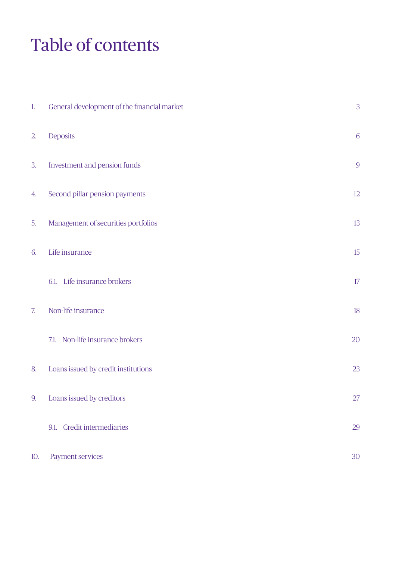# Table of contents

| $\mathbf{1}$ . | General development of the financial market | 3       |
|----------------|---------------------------------------------|---------|
| 2.             | Deposits                                    | 6       |
| 3.             | Investment and pension funds                | 9       |
| 4.             | Second pillar pension payments              | $12 \,$ |
| 5.             | Management of securities portfolios         | 13      |
| 6.             | Life insurance                              | $15\,$  |
|                | 6.1. Life insurance brokers                 | $17\,$  |
| 7.             | Non-life insurance                          | $18\,$  |
|                | 7.1. Non-life insurance brokers             | 20      |
| 8.             | Loans issued by credit institutions         | 23      |
|                | 9. Loans issued by creditors                | 27      |
|                | 9.1. Credit intermediaries                  | 29      |
| 10.            | Payment services                            | 30      |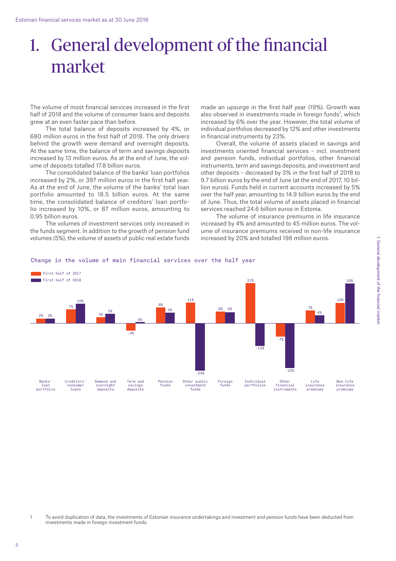# 1. General development of the financial market

The volume of most financial services increased in the first half of 2018 and the volume of consumer loans and deposits grew at an even faster pace than before.

The total balance of deposits increased by 4%, or 680 million euros in the first half of 2018. The only drivers behind the growth were demand and overnight deposits. At the same time, the balance of term and savings deposits increased by 13 million euros. As at the end of June, the volume of deposits totalled 17.8 billion euros.

The consolidated balance of the banks' loan portfolios increased by 2%, or 397 million euros in the first half year. As at the end of June, the volume of the banks' total loan portfolio amounted to 18.5 billion euros. At the same time, the consolidated balance of creditors' loan portfolio increased by 10%, or 87 million euros, amounting to 0.95 billion euros.

The volumes of investment services only increased in the funds segment. In addition to the growth of pension fund volumes (5%), the volume of assets of public real estate funds made an upsurge in the first half year (19%). Growth was also observed in investments made in foreign funds<sup>1</sup>, which increased by 6% over the year. However, the total volume of individual portfolios decreased by 12% and other investments in financial instruments by 23%.

Overall, the volume of assets placed in savings and investments oriented financial services – incl. investment and pension funds, individual portfolios, other financial instruments, term and savings deposits, and investment and other deposits – decreased by 3% in the first half of 2018 to 9.7 billion euros by the end of June (at the end of 2017, 10 billion euros). Funds held in current accounts increased by 5% over the half year, amounting to 14.9 billion euros by the end of June. Thus, the total volume of assets placed in financial services reached 24.6 billion euros in Estonia.

The volume of insurance premiums in life insurance increased by 4% and amounted to 45 million euros. The volume of insurance premiums received in non-life insurance increased by 20% and totalled 198 million euros.



## Change in the volume of main financial services over the half year

1 To avoid duplication of data, the investments of Estonian insurance undertakings and investment and pension funds have been deducted from investments made in foreign investment funds.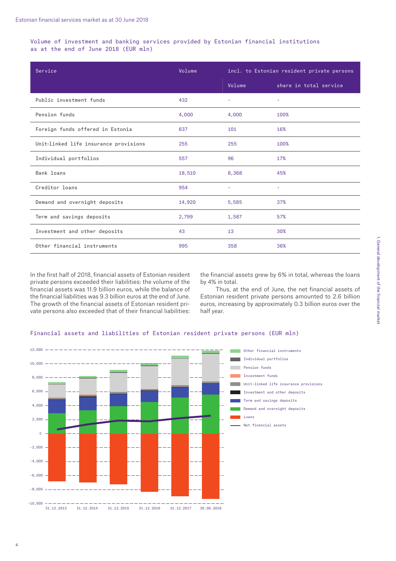Volume of investment and banking services provided by Estonian financial institutions as at the end of June 2018 (EUR mln)

| Service                               | Volume | incl. to Estonian resident private persons |                        |
|---------------------------------------|--------|--------------------------------------------|------------------------|
|                                       |        | Volume                                     | share in total service |
| Public investment funds               | 432    | $\sim$                                     |                        |
| Pension funds                         | 4,000  | 4,000                                      | 100%                   |
| Foreign funds offered in Estonia      | 637    | 101                                        | 16%                    |
| Unit-linked life insurance provisions | 255    | 255                                        | 100%                   |
| Individual portfolios                 | 557    | 96                                         | 17%                    |
| Bank loans                            | 18,510 | 8,368                                      | 45%                    |
| Creditor loans                        | 954    | $\sim$                                     | ٠                      |
| Demand and overnight deposits         | 14,920 | 5,585                                      | 37%                    |
| Term and savings deposits             | 2,799  | 1,587                                      | 57%                    |
| Investment and other deposits         | 43     | 13                                         | 30%                    |
| Other financial instruments           | 995    | 358                                        | 36%                    |

In the first half of 2018, financial assets of Estonian resident private persons exceeded their liabilities: the volume of the financial assets was 11.9 billion euros, while the balance of the financial liabilities was 9.3 billion euros at the end of June. The growth of the financial assets of Estonian resident private persons also exceeded that of their financial liabilities:

the financial assets grew by 6% in total, whereas the loans by 4% in total.

Thus, at the end of June, the net financial assets of Estonian resident private persons amounted to 2.6 billion euros, increasing by approximately 0.3 billion euros over the half year.



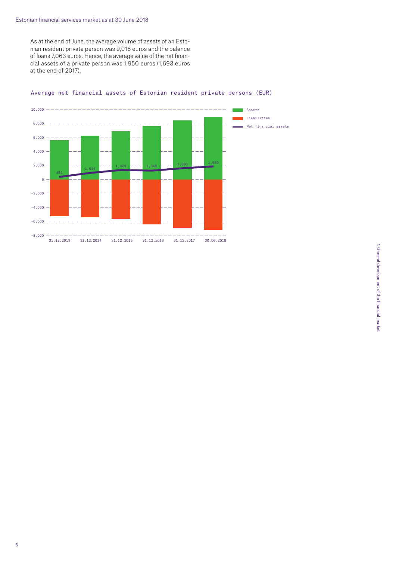As at the end of June, the average volume of assets of an Estonian resident private person was 9,016 euros and the balance of loans 7,063 euros. Hence, the average value of the net financial assets of a private person was 1,950 euros (1,693 euros at the end of 2017).



Average net financial assets of Estonian resident private persons (EUR)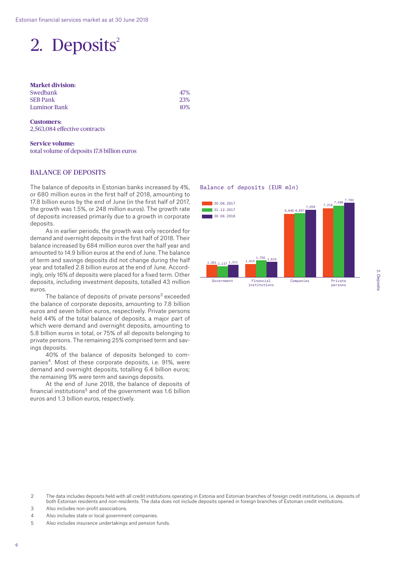# 2. Deposits<sup>2</sup>

#### **Market division:**  Swedbank **SEB Pank**

**Luminor Bank** 

| 47%    |
|--------|
| 23%    |
| $10\%$ |

**Customers:**  2,563,084 effective contracts

#### **Service volume:**  total volume of deposits 17.8 billion euros

## BALANCE OF DEPOSITS

The balance of deposits in Estonian banks increased by 4%, or 680 million euros in the first half of 2018, amounting to 17.8 billion euros by the end of June (in the first half of 2017, the growth was 1.5%, or 248 million euros). The growth rate of deposits increased primarily due to a growth in corporate deposits.

As in earlier periods, the growth was only recorded for demand and overnight deposits in the first half of 2018. Their balance increased by 684 million euros over the half year and amounted to 14.9 billion euros at the end of June. The balance of term and savings deposits did not change during the half year and totalled 2.8 billion euros at the end of June. Accordingly, only 16% of deposits were placed for a fixed term. Other deposits, including investment deposits, totalled 43 million euros.

The balance of deposits of private persons<sup>3</sup> exceeded the balance of corporate deposits, amounting to 7.8 billion euros and seven billion euros, respectively. Private persons held 44% of the total balance of deposits, a major part of which were demand and overnight deposits, amounting to 5.8 billion euros in total, or 75% of all deposits belonging to private persons. The remaining 25% comprised term and savings deposits.

40% of the balance of deposits belonged to companies<sup>4</sup>. Most of these corporate deposits, i.e. 91%, were demand and overnight deposits, totalling 6.4 billion euros; the remaining 9% were term and savings deposits.

At the end of June 2018, the balance of deposits of financial institutions<sup>5</sup> and of the government was 1.6 billion euros and 1.3 billion euros, respectively.

#### Balance of deposits (EUR mln)



- 2 The data includes deposits held with all credit institutions operating in Estonia and Estonian branches of foreign credit institutions, i.e. deposits of both Estonian residents and non-residents. The data does not include deposits opened in foreign branches of Estonian credit institutions.
- 3 Also includes non-profit associations.
- 4 Also includes state or local government companies.
- 5 Also includes insurance undertakings and pension funds.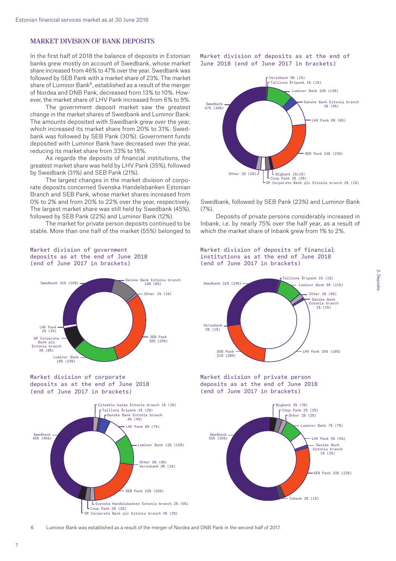# MARKET DIVISION OF BANK DEPOSITS

In the first half of 2018 the balance of deposits in Estonian banks grew mostly on account of Swedbank, whose market share increased from 46% to 47% over the year. Swedbank was followed by SEB Pank with a market share of 23%. The market share of Luminor Bank<sup>6</sup>, established as a result of the merger of Nordea and DNB Pank, decreased from 13% to 10%. However, the market share of LHV Pank increased from 6% to 9%.

The government deposit market saw the greatest change in the market shares of Swedbank and Luminor Bank. The amounts deposited with Swedbank grew over the year, which increased its market share from 20% to 31%. Swedbank was followed by SEB Pank (30%). Government funds deposited with Luminor Bank have decreased over the year, reducing its market share from 33% to 18%.

As regards the deposits of financial institutions, the greatest market share was held by LHV Pank (35%), followed by Swedbank (31%) and SEB Pank (21%).

The largest changes in the market division of corporate deposits concerned Svenska Handelsbanken Estonian Branch and SEB Pank, whose market shares increased from 0% to 2% and from 20% to 22% over the year, respectively. The largest market share was still held by Swedbank (45%), followed by SEB Pank (22%) and Luminor Bank (12%).

The market for private person deposits continued to be stable. More than one half of the market (55%) belonged to



Market division of deposits as at the end of June 2018 (end of June 2017 in brackets)

Swedbank, followed by SEB Pank (23%) and Luminor Bank  $(7%)$ 

Deposits of private persons considerably increased in Inbank, i.e. by nearly 75% over the half year, as a result of which the market share of Inbank grew from 1% to 2%.

Market division of deposits of financial institutions as at the end of June 2018



#### Market division of government deposits as at the end of June 2018 (end of June 2017 in brackets)

6 Luminor Bank was established as a result of the merger of Nordea and DNB Pank in the second half of 2017.

OP Corporate Bank plc Estonia branch 3% (2%)

 $\mathsf{L}_{\mathsf{Coop}}$  Pank 2% (2%)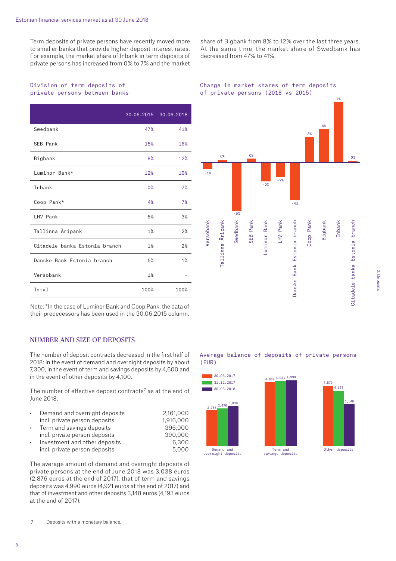Term deposits of private persons have recently moved more to smaller banks that provide higher deposit interest rates. For example, the market share of Inbank in term deposits of private persons has increased from 0% to 7% and the market

Division of term deposits of private persons between banks

|                               |      | 30.06.2015 30.06.2018 |
|-------------------------------|------|-----------------------|
| Swedbank                      | 47%  | 41%                   |
| SEB Pank                      | 15%  | 16%                   |
| Bigbank                       | 8%   | 12%                   |
| Luminor Bank*                 | 12%  | 10%                   |
| Inbank                        | 0%   | 7%                    |
| Coop Pank*                    | 4%   | 7%                    |
| LHV Pank                      | 5%   | 3%                    |
| Tallinna Äripank              | 1%   | 2%                    |
| Citadele banka Estonia branch | 1%   | 2%                    |
| Danske Bank Estonia branch    | 5%   | 1%                    |
| Versobank                     | 1%   |                       |
| Total                         | 100% | 100%                  |

Note: \*In the case of Luminor Bank and Coop Pank, the data of their predecessors has been used in the 30.06.2015 column.

# NUMBER AND SIZE OF DEPOSITS

The number of deposit contracts decreased in the first half of 2018: in the event of demand and overnight deposits by about 7,300, in the event of term and savings deposits by 4,600 and in the event of other deposits by 4,100.

The number of effective deposit contracts<sup>7</sup> as at the end of June 2018:

| $\bullet$ | Demand and overnight deposits | 2.161.000 |
|-----------|-------------------------------|-----------|
|           | incl. private person deposits | 1,916,000 |
| $\bullet$ | Term and savings deposits     | 396,000   |
|           | incl. private person deposits | 390,000   |
| $\bullet$ | Investment and other deposits | 6,300     |
|           | incl. private person deposits | 5,000     |

The average amount of demand and overnight deposits of private persons at the end of June 2018 was 3,038 euros (2,876 euros at the end of 2017), that of term and savings deposits was 4,990 euros (4,921 euros at the end of 2017) and that of investment and other deposits 3,148 euros (4,193 euros at the end of 2017).

share of Bigbank from 8% to 12% over the last three years. At the same time, the market share of Swedbank has decreased from 47% to 41%.





Average balance of deposits of private persons (EUR)



2. Deposits 2. Deposits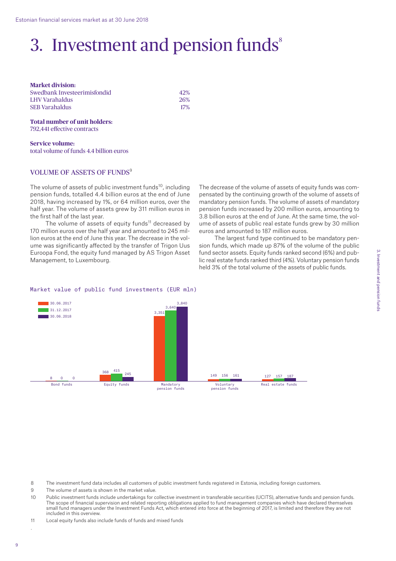# 3. Investment and pension funds $s^*$

**Market division:**  Swedbank Investeerimisfondid 42% LHV Varahaldus 26% SEB Varahaldus 17%

### **Total number of unit holders:**  792,441 effective contracts

**Service volume:**  total volume of funds 4.4 billion euros

## VOLUME OF ASSETS OF FUNDS<sup>9</sup>

The volume of assets of public investment funds<sup>10</sup>, including pension funds, totalled 4.4 billion euros at the end of June 2018, having increased by 1%, or 64 million euros, over the half year. The volume of assets grew by 311 million euros in the first half of the last year.

The volume of assets of equity funds<sup>11</sup> decreased by 170 million euros over the half year and amounted to 245 million euros at the end of June this year. The decrease in the volume was significantly affected by the transfer of Trigon Uus Euroopa Fond, the equity fund managed by AS Trigon Asset Management, to Luxembourg.

The decrease of the volume of assets of equity funds was compensated by the continuing growth of the volume of assets of mandatory pension funds. The volume of assets of mandatory pension funds increased by 200 million euros, amounting to 3.8 billion euros at the end of June. At the same time, the volume of assets of public real estate funds grew by 30 million euros and amounted to 187 million euros.

The largest fund type continued to be mandatory pension funds, which made up 87% of the volume of the public fund sector assets. Equity funds ranked second (6%) and public real estate funds ranked third (4%). Voluntary pension funds held 3% of the total volume of the assets of public funds.

#### Market value of public fund investments (EUR mln)



8 The investment fund data includes all customers of public investment funds registered in Estonia, including foreign customers.

9 The volume of assets is shown in the market value.

10 Public investment funds include undertakings for collective investment in transferable securities (UCITS), alternative funds and pension funds. The scope of financial supervision and related reporting obligations applied to fund management companies which have declared themselves small fund managers under the Investment Funds Act, which entered into force at the beginning of 2017, is limited and therefore they are not included in this overview.

11 Local equity funds also include funds of funds and mixed funds

.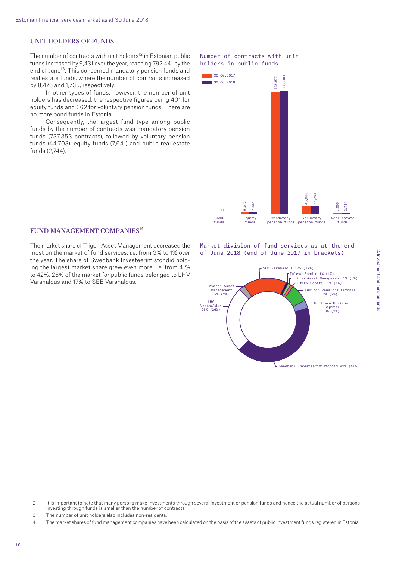#### UNIT HOLDERS OF FUNDS

The number of contracts with unit holders<sup>12</sup> in Estonian public funds increased by 9,431 over the year, reaching 792,441 by the end of June<sup>13</sup>. This concerned mandatory pension funds and real estate funds, where the number of contracts increased by 8,476 and 1,735, respectively.

In other types of funds, however, the number of unit holders has decreased, the respective figures being 401 for equity funds and 362 for voluntary pension funds. There are no more bond funds in Estonia.

Consequently, the largest fund type among public funds by the number of contracts was mandatory pension funds (737,353 contracts), followed by voluntary pension funds (44,703), equity funds (7,641) and public real estate funds (2,744).

# Number of contracts with unit holders in public funds



### FUND MANAGEMENT COMPANIES<sup>14</sup>

The market share of Trigon Asset Management decreased the most on the market of fund services, i.e. from 3% to 1% over the year. The share of Swedbank Investeerimisfondid holding the largest market share grew even more, i.e. from 41% to 42%. 26% of the market for public funds belonged to LHV Varahaldus and 17% to SEB Varahaldus.

Market division of fund services as at the end of June 2018 (end of June 2017 in brackets)



13 The number of unit holders also includes non-residents.

<sup>12</sup> It is important to note that many persons make investments through several investment or pension funds and hence the actual number of persons investing through funds is smaller than the number of contracts.

<sup>14</sup> The market shares of fund management companies have been calculated on the basis of the assets of public investment funds registered in Estonia.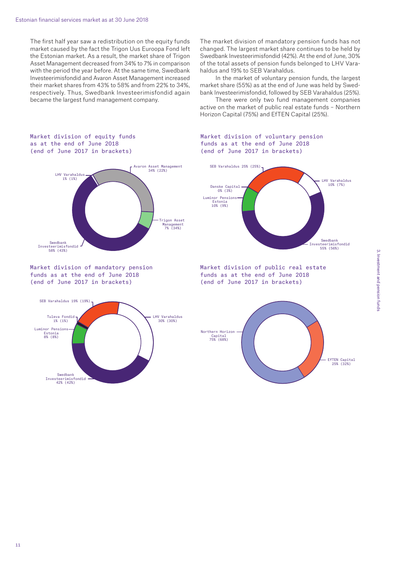The first half year saw a redistribution on the equity funds market caused by the fact the Trigon Uus Euroopa Fond left the Estonian market. As a result, the market share of Trigon Asset Management decreased from 34% to 7% in comparison with the period the year before. At the same time, Swedbank Investeerimisfondid and Avaron Asset Management increased their market shares from 43% to 58% and from 22% to 34%, respectively. Thus, Swedbank Investeerimisfondid again became the largest fund management company.

The market division of mandatory pension funds has not changed. The largest market share continues to be held by Swedbank Investeerimisfondid (42%). At the end of June, 30% of the total assets of pension funds belonged to LHV Varahaldus and 19% to SEB Varahaldus.

In the market of voluntary pension funds, the largest market share (55%) as at the end of June was held by Swedbank Investeerimisfondid, followed by SEB Varahaldus (25%).

There were only two fund management companies active on the market of public real estate funds – Northern Horizon Capital (75%) and EfTEN Capital (25%).

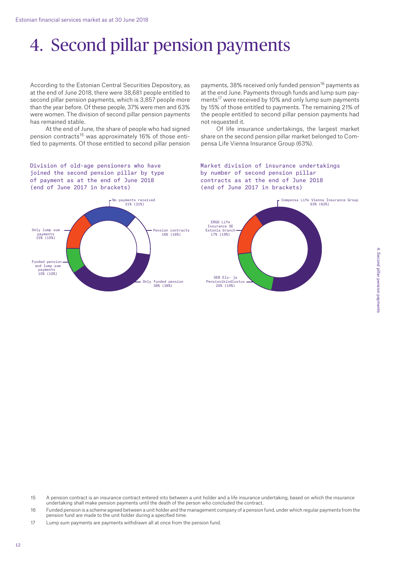# 4. Second pillar pension payments

According to the Estonian Central Securities Depository, as at the end of June 2018, there were 38,681 people entitled to second pillar pension payments, which is 3,857 people more than the year before. Of these people, 37% were men and 63% were women. The division of second pillar pension payments has remained stable.

At the end of June, the share of people who had signed pension contracts<sup>15</sup> was approximately 16% of those entitled to payments. Of those entitled to second pillar pension payments, 38% received only funded pension<sup>16</sup> payments as at the end June. Payments through funds and lump sum payments<sup>17</sup> were received by 10% and only lump sum payments by 15% of those entitled to payments. The remaining 21% of the people entitled to second pillar pension payments had not requested it.

Of life insurance undertakings, the largest market share on the second pension pillar market belonged to Compensa Life Vienna Insurance Group (63%).

Division of old-age pensioners who have joined the second pension pillar by type of payment as at the end of June 2018 (end of June 2017 in brackets)



Market division of insurance undertakings by number of second pension pillar contracts as at the end of June 2018 (end of June 2017 in brackets)



- 15 A pension contract is an insurance contract entered into between a unit holder and a life insurance undertaking, based on which the insurance undertaking shall make pension payments until the death of the person who concluded the contract.
- 16 Funded pension is a scheme agreed between a unit holder and the management company of a pension fund, under which regular payments from the pension fund are made to the unit holder during a specified time.

17 Lump sum payments are payments withdrawn all at once from the pension fund.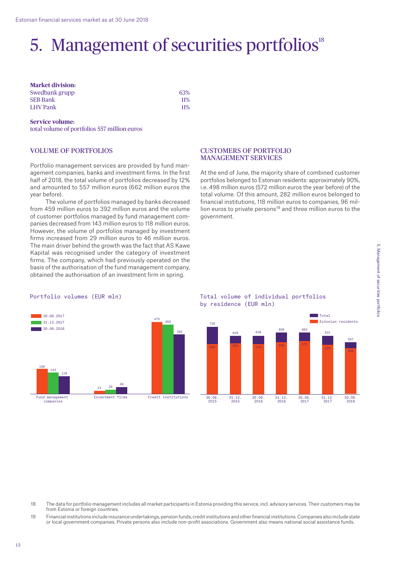# 5. Management of securities portfolios<sup>18</sup>

#### **Market division:**  Swedbank grupp 63% SEB Bank 11% LHV Pank 11%

#### **Service volume:**

total volume of portfolios 557 million euros

# VOLUME OF PORTFOLIOS

Portfolio management services are provided by fund management companies, banks and investment firms. In the first half of 2018, the total volume of portfolios decreased by 12% and amounted to 557 million euros (662 million euros the year before).

The volume of portfolios managed by banks decreased from 459 million euros to 392 million euros and the volume of customer portfolios managed by fund management companies decreased from 143 million euros to 118 million euros. However, the volume of portfolios managed by investment firms increased from 29 million euros to 46 million euros. The main driver behind the growth was the fact that AS Kawe Kapital was recognised under the category of investment firms. The company, which had previously operated on the basis of the authorisation of the fund management company, obtained the authorisation of an investment firm in spring.

## CUSTOMERS OF PORTFOLIO MANAGEMENT SERVICES

At the end of June, the majority share of combined customer portfolios belonged to Estonian residents: approximately 90%, i.e. 498 million euros (572 million euros the year before) of the total volume. Of this amount, 282 million euros belonged to financial institutions, 118 million euros to companies, 96 million euros to private persons<sup>19</sup> and three million euros to the government.

#### Portfolio volumes (EUR mln)



Total volume of individual portfolios by residence (EUR mln)



- 18 The data for portfolio management includes all market participants in Estonia providing this service, incl. advisory services. Their customers may be from Estonia or foreign countries.
- 19 Financial institutions include insurance undertakings, pension funds, credit institutions and other financial institutions. Companies also include state or local government companies. Private persons also include non-profit associations. Government also means national social assistance funds.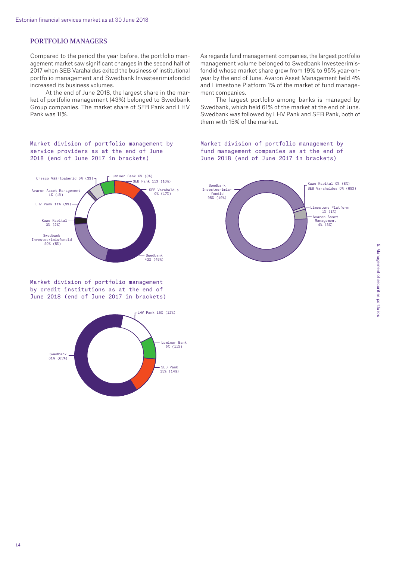# PORTFOLIO MANAGERS

Compared to the period the year before, the portfolio management market saw significant changes in the second half of 2017 when SEB Varahaldus exited the business of institutional portfolio management and Swedbank Investeerimisfondid increased its business volumes.

At the end of June 2018, the largest share in the market of portfolio management (43%) belonged to Swedbank Group companies. The market share of SEB Pank and LHV Pank was 11%.

Market division of portfolio management by service providers as at the end of June 2018 (end of June 2017 in brackets)



Market division of portfolio management by credit institutions as at the end of June 2018 (end of June 2017 in brackets)



As regards fund management companies, the largest portfolio management volume belonged to Swedbank Investeerimisfondid whose market share grew from 19% to 95% year-onyear by the end of June. Avaron Asset Management held 4% and Limestone Platform 1% of the market of fund management companies.

The largest portfolio among banks is managed by Swedbank, which held 61% of the market at the end of June. Swedbank was followed by LHV Pank and SEB Pank, both of them with 15% of the market.

Market division of portfolio management by fund management companies as at the end of June 2018 (end of June 2017 in brackets)

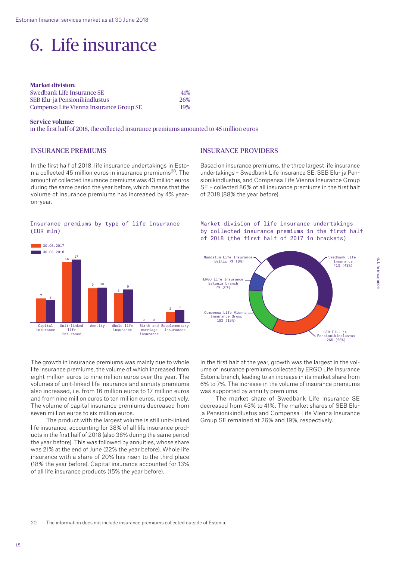# 6. Life insurance

| <b>Market division:</b>                 |     |
|-----------------------------------------|-----|
| Swedbank Life Insurance SE              | 41% |
| SEB Elu- ja Pensionikindlustus          | 26% |
| Compensa Life Vienna Insurance Group SE | 19% |

#### **Service volume:**

in the first half of 2018, the collected insurance premiums amounted to 45 million euros

# INSURANCE PREMIUMS

In the first half of 2018, life insurance undertakings in Estonia collected 45 million euros in insurance premiums<sup>20</sup>. The amount of collected insurance premiums was 43 million euros during the same period the year before, which means that the volume of insurance premiums has increased by 4% yearon-year.

#### Insurance premiums by type of life insurance (EUR mln)



The growth in insurance premiums was mainly due to whole life insurance premiums, the volume of which increased from eight million euros to nine million euros over the year. The volumes of unit-linked life insurance and annuity premiums also increased, i.e. from 16 million euros to 17 million euros and from nine million euros to ten million euros, respectively. The volume of capital insurance premiums decreased from seven million euros to six million euros.

The product with the largest volume is still unit-linked life insurance, accounting for 38% of all life insurance products in the first half of 2018 (also 38% during the same period the year before). This was followed by annuities, whose share was 21% at the end of June (22% the year before). Whole life insurance with a share of 20% has risen to the third place (18% the year before). Capital insurance accounted for 13% of all life insurance products (15% the year before).

# INSURANCE PROVIDERS

Based on insurance premiums, the three largest life insurance undertakings – Swedbank Life Insurance SE, SEB Elu- ja Pensionikindlustus, and Compensa Life Vienna Insurance Group SE – collected 86% of all insurance premiums in the first half of 2018 (88% the year before).

### Market division of life insurance undertakings by collected insurance premiums in the first half of 2018 (the first half of 2017 in brackets)



In the first half of the year, growth was the largest in the volume of insurance premiums collected by ERGO Life Insurance Estonia branch, leading to an increase in its market share from 6% to 7%. The increase in the volume of insurance premiums was supported by annuity premiums.

The market share of Swedbank Life Insurance SE decreased from 43% to 41%. The market shares of SEB Eluja Pensionikindlustus and Compensa Life Vienna Insurance Group SE remained at 26% and 19%, respectively.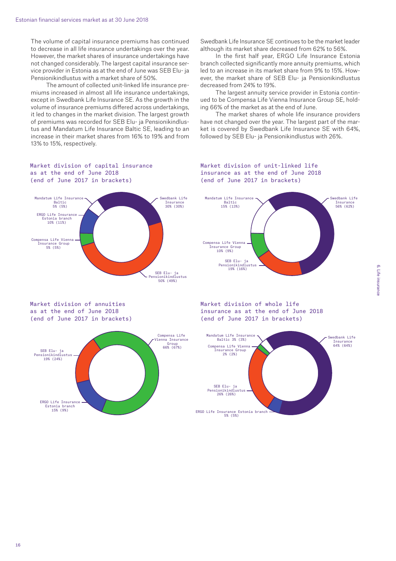The volume of capital insurance premiums has continued to decrease in all life insurance undertakings over the year. However, the market shares of insurance undertakings have not changed considerably. The largest capital insurance service provider in Estonia as at the end of June was SEB Elu- ja Pensionikindlustus with a market share of 50%.

The amount of collected unit-linked life insurance premiums increased in almost all life insurance undertakings, except in Swedbank Life Insurance SE. As the growth in the volume of insurance premiums differed across undertakings, it led to changes in the market division. The largest growth of premiums was recorded for SEB Elu- ja Pensionikindlustus and Mandatum Life Insurance Baltic SE, leading to an increase in their market shares from 16% to 19% and from 13% to 15%, respectively.

Swedbank Life Insurance SE continues to be the market leader although its market share decreased from 62% to 56%.

In the first half year, ERGO Life Insurance Estonia branch collected significantly more annuity premiums, which led to an increase in its market share from 9% to 15%. However, the market share of SEB Elu- ja Pensionikindlustus decreased from 24% to 19%.

The largest annuity service provider in Estonia continued to be Compensa Life Vienna Insurance Group SE, holding 66% of the market as at the end of June.

The market shares of whole life insurance providers have not changed over the year. The largest part of the market is covered by Swedbank Life Insurance SE with 64%, followed by SEB Elu- ja Pensionikindlustus with 26%.



Market division of unit-linked life insurance as at the end of June 2018 (end of June 2017 in brackets)



Market division of annuities as at the end of June 2018 (end of June 2017 in brackets)



Market division of whole life insurance as at the end of June 2018 (end of June 2017 in brackets)



16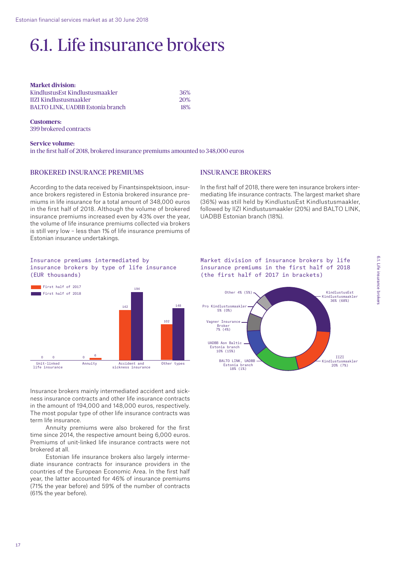# 6.1. Life insurance brokers

| <b>Market division:</b>                 |            |
|-----------------------------------------|------------|
| KindlustusEst Kindlustusmaakler         | 36%        |
| <b>IIZI Kindlustusmaakler</b>           | 20%        |
| <b>BALTO LINK. UADBB Estonia branch</b> | <b>18%</b> |

**Customers:** 399 brokered contracts

**Service volume:**  in the first half of 2018, brokered insurance premiums amounted to 348,000 euros

### BROKERED INSURANCE PREMIUMS

According to the data received by Finantsinspektsioon, insurance brokers registered in Estonia brokered insurance premiums in life insurance for a total amount of 348,000 euros in the first half of 2018. Although the volume of brokered insurance premiums increased even by 43% over the year, the volume of life insurance premiums collected via brokers is still very low – less than 1% of life insurance premiums of Estonian insurance undertakings.

# INSURANCE BROKERS

In the first half of 2018, there were ten insurance brokers intermediating life insurance contracts. The largest market share (36%) was still held by KindlustusEst Kindlustusmaakler, followed by IIZI Kindlustusmaakler (20%) and BALTO LINK, UADBB Estonian branch (18%).

#### Insurance premiums intermediated by insurance brokers by type of life insurance (EUR thousands)



Insurance brokers mainly intermediated accident and sickness insurance contracts and other life insurance contracts in the amount of 194,000 and 148,000 euros, respectively. The most popular type of other life insurance contracts was term life insurance.

Annuity premiums were also brokered for the first time since 2014, the respective amount being 6,000 euros. Premiums of unit-linked life insurance contracts were not brokered at all.

Estonian life insurance brokers also largely intermediate insurance contracts for insurance providers in the countries of the European Economic Area. In the first half year, the latter accounted for 46% of insurance premiums (71% the year before) and 59% of the number of contracts (61% the year before).

Market division of insurance brokers by life insurance premiums in the first half of 2018 (the first half of 2017 in brackets)

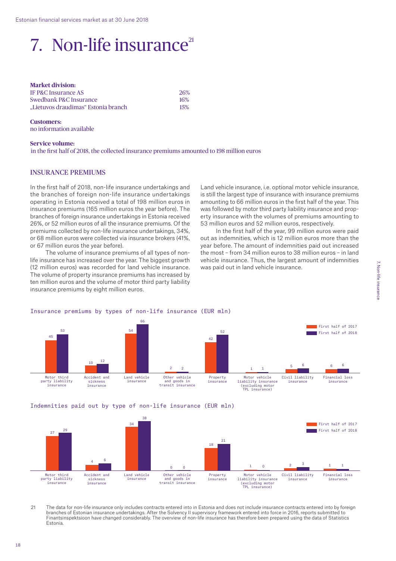# 7. Non-life insurance $21$

| <b>Market division:</b>             |     |
|-------------------------------------|-----|
| IF P&C Insurance AS                 | 26% |
| Swedbank P&C Insurance              | 16% |
| "Lietuvos draudimas" Estonia branch | 15% |

**Customers:**  no information available

#### **Service volume:**

in the first half of 2018, the collected insurance premiums amounted to 198 million euros

#### INSURANCE PREMIUMS

In the first half of 2018, non-life insurance undertakings and the branches of foreign non-life insurance undertakings operating in Estonia received a total of 198 million euros in insurance premiums (165 million euros the year before). The branches of foreign insurance undertakings in Estonia received 26%, or 52 million euros of all the insurance premiums. Of the premiums collected by non-life insurance undertakings, 34%, or 68 million euros were collected via insurance brokers (41%, or 67 million euros the year before).

The volume of insurance premiums of all types of nonlife insurance has increased over the year. The biggest growth (12 million euros) was recorded for land vehicle insurance. The volume of property insurance premiums has increased by ten million euros and the volume of motor third party liability insurance premiums by eight million euros.

Land vehicle insurance, i.e. optional motor vehicle insurance, is still the largest type of insurance with insurance premiums amounting to 66 million euros in the first half of the year. This was followed by motor third party liability insurance and property insurance with the volumes of premiums amounting to 53 million euros and 52 million euros, respectively.

In the first half of the year, 99 million euros were paid out as indemnities, which is 12 million euros more than the year before. The amount of indemnities paid out increased the most – from 34 million euros to 38 million euros – in land vehicle insurance. Thus, the largest amount of indemnities was paid out in land vehicle insurance.



# Insurance premiums by types of non-life insurance (EUR mln)

Indemnities paid out by type of non-life insurance (EUR mln)



21 The data for non-life insurance only includes contracts entered into in Estonia and does not include insurance contracts entered into by foreign branches of Estonian insurance undertakings. After the Solvency II supervisory framework entered into force in 2016, reports submitted to Finantsinspektsioon have changed considerably. The overview of non-life insurance has therefore been prepared using the data of Statistics Estonia.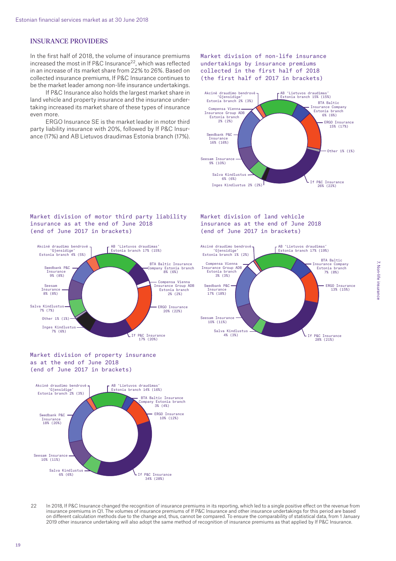### INSURANCE PROVIDERS

In the first half of 2018, the volume of insurance premiums in the metallity of  $2.1$ ,  $\mu$  is a control of  $2^2$ , which was reflected in an increase of its market share from 22% to 26%. Based on collected insurance premiums, If P&C Insurance continues to be the market leader among non-life insurance undertakings.

If P&C Insurance also holds the largest market share in land vehicle and property insurance and the insurance undertaking increased its market share of these types of insurance even more.

ERGO Insurance SE is the market leader in motor third party liability insurance with 20%, followed by If P&C Insurance (17%) and AB Lietuvos draudimas Estonia branch (17%).

#### Market division of non-life insurance undertakings by insurance premiums collected in the first half of 2018 (the first half of 2017 in brackets)



Market division of land vehicle insurance as at the end of June 2018 (end of June 2017 in brackets)

Salva Kindlustus 4% (3%)

Insurance 17% (18%)

#### Market division of motor third party liability insurance as at the end of June 2018 (end of June 2017 in brackets)



Market division of property insurance as at the end of June 2018 (end of June 2017 in brackets)



22 In 2018, If P&C Insurance changed the recognition of insurance premiums in its reporting, which led to a single positive effect on the revenue from insurance premiums in Q1. The volumes of insurance premiums of If P&C Insurance and other insurance undertakings for this period are based on different calculation methods due to the change and, thus, cannot be compared. To ensure the comparability of statistical data, from 1 January 2019 other insurance undertaking will also adopt the same method of recognition of insurance premiums as that applied by If P&C Insurance.

If P&C Insurance 28% (21%)

ERGO Insurance 13% (15%)

BTA Baltic Insurance Company Estonia branch 7% (8%)

AB 'Lietuvos draudimas' Estonia branch 17% (19%)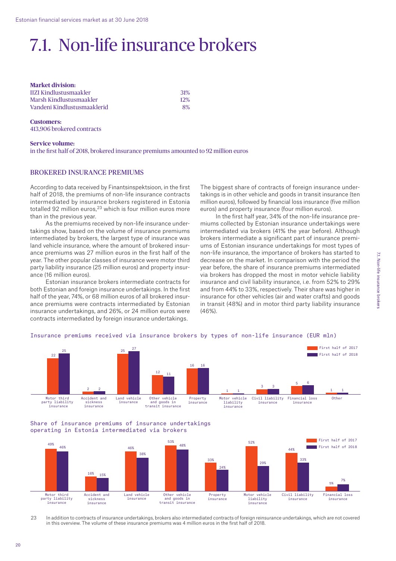# 7.1. Non-life insurance brokers

**Market division:**  IIZI Kindlustusmaakler 31% Marsh Kindlustusmaakler 12% Vandeni Kindlustusmaaklerid 8%

**Customers:**  413,906 brokered contracts

#### **Service volume:**  in the first half of 2018, brokered insurance premiums amounted to 92 million euros

### BROKERED INSURANCE PREMIUMS

According to data received by Finantsinspektsioon, in the first half of 2018, the premiums of non-life insurance contracts intermediated by insurance brokers registered in Estonia totalled 92 million euros, $23$  which is four million euros more than in the previous year.

As the premiums received by non-life insurance undertakings show, based on the volume of insurance premiums intermediated by brokers, the largest type of insurance was land vehicle insurance, where the amount of brokered insurance premiums was 27 million euros in the first half of the year. The other popular classes of insurance were motor third party liability insurance (25 million euros) and property insurance (16 million euros).

Estonian insurance brokers intermediate contracts for both Estonian and foreign insurance undertakings. In the first half of the year, 74%, or 68 million euros of all brokered insurance premiums were contracts intermediated by Estonian insurance undertakings, and 26%, or 24 million euros were contracts intermediated by foreign insurance undertakings.

The biggest share of contracts of foreign insurance undertakings is in other vehicle and goods in transit insurance (ten million euros), followed by financial loss insurance (five million euros) and property insurance (four million euros).

In the first half year, 34% of the non-life insurance premiums collected by Estonian insurance undertakings were intermediated via brokers (41% the year before). Although brokers intermediate a significant part of insurance premiums of Estonian insurance undertakings for most types of non-life insurance, the importance of brokers has started to decrease on the market. In comparison with the period the year before, the share of insurance premiums intermediated via brokers has dropped the most in motor vehicle liability insurance and civil liability insurance, i.e. from 52% to 29% and from 44% to 33%, respectively. Their share was higher in insurance for other vehicles (air and water crafts) and goods in transit (48%) and in motor third party liability insurance (46%).

22 2  $25$ 12 16 1  $3 \qquad 3 \qquad \qquad 5$ 1 25 2 27 11 16 1  $\sim$ 6 1 First half of 2017 First half of 2018 Motor third party liability insurance Accident and sickness insurance Property insurance Land vehicle insurance Motor vehicle liability insurance Other vehicle Property Motor vehicle Civil liability Financial loss Other insurance Financial loss insurance and goods in transit insurance

### Insurance premiums received via insurance brokers by types of non-life insurance (EUR mln)

Share of insurance premiums of insurance undertakings operating in Estonia intermediated via brokers



23 In addition to contracts of insurance undertakings, brokers also intermediated contracts of foreign reinsurance undertakings, which are not covered in this overview. The volume of these insurance premiums was 4 million euros in the first half of 2018.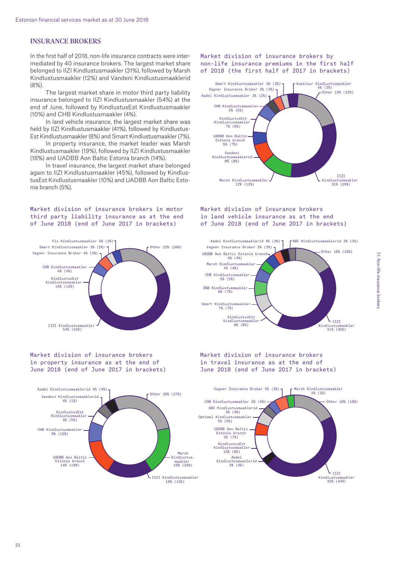# INSURANCE BROKERS

In the first half of 2018, non-life insurance contracts were intermediated by 40 insurance brokers. The largest market share belonged to IIZI Kindlustusmaakler (31%), followed by Marsh Kindlustusmaakler (12%) and Vandeni Kindlustusmaaklerid  $(8% )$ 

The largest market share in motor third party liability insurance belonged to IIZI Kindlustusmaakler (54%) at the end of June, followed by KindlustusEst Kindlustusmaakler (10%) and CHB Kindlustusmaakler (4%).

In land vehicle insurance, the largest market share was held by IIZI Kindlustusmaakler (41%), followed by Kindlustus-Est Kindlustusmaakler (8%) and Smart Kindlustusmaakler (7%).

In property insurance, the market leader was Marsh Kindlustusmaakler (19%), followed by IIZI Kindlustusmaakler (18%) and UADBB Aon Baltic Estonia branch (14%).

In travel insurance, the largest market share belonged again to IIZI Kindlustusmaakler (45%), followed by KindlustusEst Kindlustusmaakler (10%) and UADBB Aon Baltic Estonia branch (5%).

#### Market division of insurance brokers in motor third party liability insurance as at the end of June 2018 (end of June 2017 in brackets)



Market division of insurance brokers in property insurance as at the end of June 2018 (end of June 2017 in brackets) Other 28% (27%)



18% (15%)

### Market division of insurance brokers by non-life insurance premiums in the first half of 2018 (the first half of 2017 in brackets)



#### Market division of insurance brokers in land vehicle insurance as at the end of June 2018 (end of June 2017 in brackets)



Market division of insurance brokers in travel insurance as at the end of June 2018 (end of June 2017 in brackets)

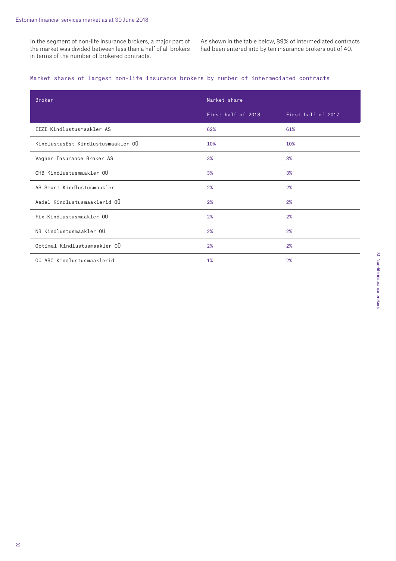In the segment of non-life insurance brokers, a major part of the market was divided between less than a half of all brokers in terms of the number of brokered contracts.

As shown in the table below, 89% of intermediated contracts had been entered into by ten insurance brokers out of 40.

# Market shares of largest non-life insurance brokers by number of intermediated contracts

| <b>Broker</b>                      | Market share       |                    |
|------------------------------------|--------------------|--------------------|
|                                    | First half of 2018 | First half of 2017 |
| IIZI Kindlustusmaakler AS          | 62%                | 61%                |
| KindlustusEst Kindlustusmaakler OÜ | 10%                | 10%                |
| Vagner Insurance Broker AS         | 3%                 | 3%                 |
| CHB Kindlustusmaakler OÜ           | 3%                 | 3%                 |
| AS Smart Kindlustusmaakler         | 2%                 | 2%                 |
| Aadel Kindlustusmaaklerid OÜ       | 2%                 | 2%                 |
| Fix Kindlustusmaakler OÜ           | 2%                 | 2%                 |
| NB Kindlustusmaakler OÜ            | 2%                 | 2%                 |
| Optimal Kindlustusmaakler OÜ       | 2%                 | 2%                 |
| OÜ ABC Kindlustusmaaklerid         | 1%                 | 2%                 |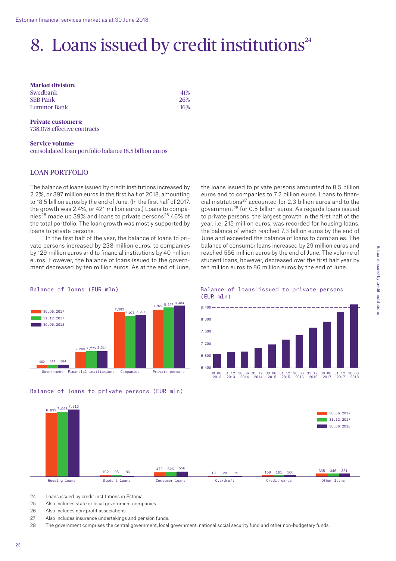# 8. Loans issued by credit institutions $24$

**Market division:**  Swedbank 41% SEB Pank 26% Luminor Bank 16%

**Private customers:**  738,078 effective contracts

**Service volume:**  consolidated loan portfolio balance 18.5 billion euros

## LOAN PORTFOLIO

The balance of loans issued by credit institutions increased by 2.2%, or 397 million euros in the first half of 2018, amounting to 18.5 billion euros by the end of June. (In the first half of 2017, the growth was 2.4%, or 421 million euros.) Loans to companies<sup>25</sup> made up 39% and loans to private persons<sup>26</sup> 46% of the total portfolio. The loan growth was mostly supported by loans to private persons.

In the first half of the year, the balance of loans to private persons increased by 238 million euros, to companies by 129 million euros and to financial institutions by 40 million euros. However, the balance of loans issued to the government decreased by ten million euros. As at the end of June,

the loans issued to private persons amounted to 8.5 billion euros and to companies to 7.2 billion euros. Loans to financial institutions<sup>27</sup> accounted for 2.3 billion euros and to the government $^{28}$  for 0.5 billion euros. As regards loans issued to private persons, the largest growth in the first half of the year, i.e. 215 million euros, was recorded for housing loans, the balance of which reached 7.3 billion euros by the end of June and exceeded the balance of loans to companies. The balance of consumer loans increased by 29 million euros and reached 556 million euros by the end of June. The volume of student loans, however, decreased over the first half year by ten million euros to 86 million euros by the end of June.



Government Financial institutions Companies Private persons



#### Balance of loans issued to private persons (EUR mln)



6,839 7,098 102 95 86 473 19 20 19 159 161 160 335 346 351 <sup>95</sup> <sup>526</sup> 556 7,313 86 30.06.2017 31.12.2017 30.06.2018

Housing loans Student loans Consumer loans Overdraft Credit cards Other loans

- 24 Loans issued by credit institutions in Estonia.
- 25 Also includes state or local government companies.
- 26 Also includes non-profit associations.
- 27 Also includes insurance undertakings and pension funds.

28 The government comprises the central government, local government, national social security fund and other non-budgetary funds.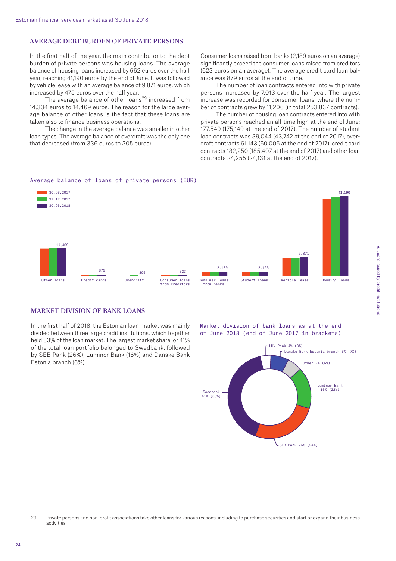# AVERAGE DEBT BURDEN OF PRIVATE PERSONS

In the first half of the year, the main contributor to the debt burden of private persons was housing loans. The average balance of housing loans increased by 662 euros over the half year, reaching 41,190 euros by the end of June. It was followed by vehicle lease with an average balance of 9,871 euros, which increased by 475 euros over the half year.

The average balance of other loans<sup>29</sup> increased from 14,334 euros to 14,469 euros. The reason for the large average balance of other loans is the fact that these loans are taken also to finance business operations.

The change in the average balance was smaller in other loan types. The average balance of overdraft was the only one that decreased (from 336 euros to 305 euros).

Consumer loans raised from banks (2,189 euros on an average) significantly exceed the consumer loans raised from creditors (623 euros on an average). The average credit card loan balance was 879 euros at the end of June.

The number of loan contracts entered into with private persons increased by 7,013 over the half year. The largest increase was recorded for consumer loans, where the number of contracts grew by 11,206 (in total 253,837 contracts).

The number of housing loan contracts entered into with private persons reached an all-time high at the end of June: 177,549 (175,149 at the end of 2017). The number of student loan contracts was 39,044 (43,742 at the end of 2017), overdraft contracts 61,143 (60,005 at the end of 2017), credit card contracts 182,250 (185,407 at the end of 2017) and other loan contracts 24,255 (24,131 at the end of 2017).

#### Average balance of loans of private persons (EUR)



# MARKET DIVISION OF BANK LOANS

In the first half of 2018, the Estonian loan market was mainly divided between three large credit institutions, which together held 83% of the loan market. The largest market share, or 41% of the total loan portfolio belonged to Swedbank, followed by SEB Pank (26%), Luminor Bank (16%) and Danske Bank Estonia branch (6%).

Market division of bank loans as at the end of June 2018 (end of June 2017 in brackets)



<sup>29</sup> Private persons and non-profit associations take other loans for various reasons, including to purchase securities and start or expand their business activities.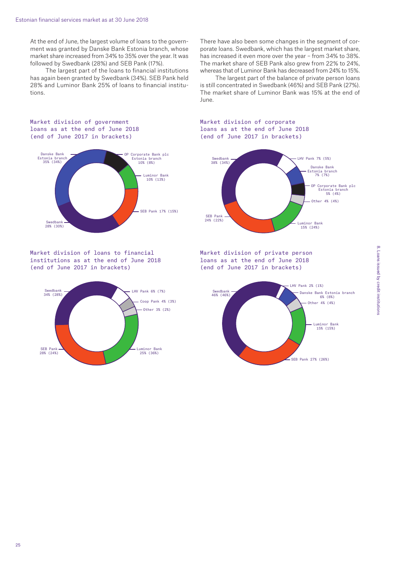At the end of June, the largest volume of loans to the government was granted by Danske Bank Estonia branch, whose market share increased from 34% to 35% over the year. It was followed by Swedbank (28%) and SEB Pank (17%).

The largest part of the loans to financial institutions has again been granted by Swedbank (34%). SEB Pank held 28% and Luminor Bank 25% of loans to financial institutions.

There have also been some changes in the segment of corporate loans. Swedbank, which has the largest market share, has increased it even more over the year – from 34% to 38%. The market share of SEB Pank also grew from 22% to 24%, whereas that of Luminor Bank has decreased from 24% to 15%.

The largest part of the balance of private person loans is still concentrated in Swedbank (46%) and SEB Pank (27%). The market share of Luminor Bank was 15% at the end of June.

#### Market division of government loans as at the end of June 2018 (end of June 2017 in brackets)



Market division of loans to financial institutions as at the end of June 2018 (end of June 2017 in brackets)



Market division of corporate loans as at the end of June 2018 (end of June 2017 in brackets)



Market division of private person loans as at the end of June 2018 (end of June 2017 in brackets)

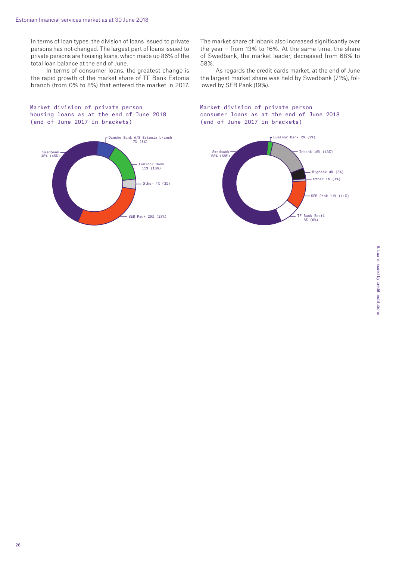In terms of loan types, the division of loans issued to private persons has not changed. The largest part of loans issued to private persons are housing loans, which made up 86% of the total loan balance at the end of June.

In terms of consumer loans, the greatest change is the rapid growth of the market share of TF Bank Estonia branch (from 0% to 8%) that entered the market in 2017.

Market division of private person housing loans as at the end of June 2018 (end of June 2017 in brackets)



The market share of Inbank also increased significantly over the year – from 13% to 16%. At the same time, the share of Swedbank, the market leader, decreased from 68% to 58%.

As regards the credit cards market, at the end of June the largest market share was held by Swedbank (71%), followed by SEB Pank (19%).

### Market division of private person consumer loans as at the end of June 2018 (end of June 2017 in brackets)

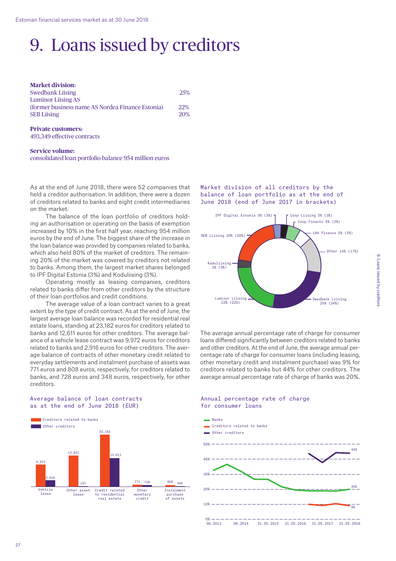# 9. Loans issued by creditors

| <b>Market division:</b>                          |            |
|--------------------------------------------------|------------|
| <b>Swedbank Liising</b>                          | 25%        |
| <b>Luminor Liising AS</b>                        |            |
| (former business name AS Nordea Finance Estonia) | <b>22%</b> |
| <b>SEB Liising</b>                               | 20%        |

#### **Private customers:**  493,349 effective contracts

### **Service volume:**

consolidated loan portfolio balance 954 million euros

As at the end of June 2018, there were 52 companies that held a creditor authorisation. In addition, there were a dozen of creditors related to banks and eight credit intermediaries on the market.

The balance of the loan portfolio of creditors holding an authorisation or operating on the basis of exemption increased by 10% in the first half year, reaching 954 million euros by the end of June. The biggest share of the increase in the loan balance was provided by companies related to banks, which also held 80% of the market of creditors. The remaining 20% of the market was covered by creditors not related to banks. Among them, the largest market shares belonged to IPF Digital Estonia (3%) and Koduliising (3%).

Operating mostly as leasing companies, creditors related to banks differ from other creditors by the structure of their loan portfolios and credit conditions.

The average value of a loan contract varies to a great extent by the type of credit contract. As at the end of June, the largest average loan balance was recorded for residential real estate loans, standing at 23,182 euros for creditors related to banks and 12,611 euros for other creditors. The average balance of a vehicle lease contract was 9,972 euros for creditors related to banks and 2,916 euros for other creditors. The average balance of contracts of other monetary credit related to everyday settlements and instalment purchase of assets was 771 euros and 808 euros, respectively, for creditors related to banks, and 728 euros and 348 euros, respectively, for other creditors.

### Average balance of loan contracts as at the end of June 2018 (EUR)



Market division of all creditors by the balance of loan portfolio as at the end of June 2018 (end of June 2017 in brackets)



The average annual percentage rate of charge for consumer loans differed significantly between creditors related to banks and other creditors. At the end of June, the average annual percentage rate of charge for consumer loans (including leasing, other monetary credit and instalment purchase) was 9% for creditors related to banks but 44% for other creditors. The average annual percentage rate of charge of banks was 20%.

Annual percentage rate of charge



# 9. Loans issued by creditors 9. Loans issued by creditors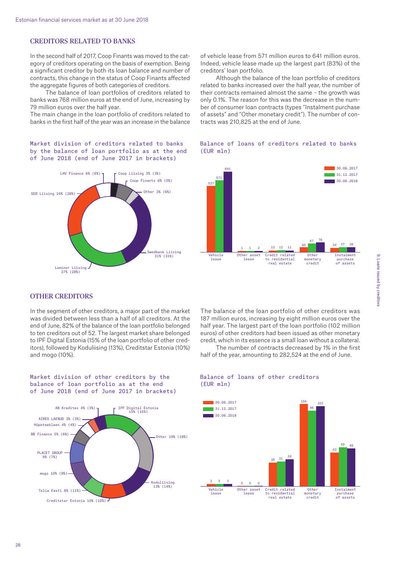# CREDITORS RELATED TO BANKS

In the second half of 2017, Coop Finants was moved to the category of creditors operating on the basis of exemption. Being a significant creditor by both its loan balance and number of contracts, this change in the status of Coop Finants affected the aggregate figures of both categories of creditors.

The balance of loan portfolios of creditors related to banks was 768 million euros at the end of June, increasing by 79 million euros over the half year.

The main change in the loan portfolio of creditors related to banks in the first half of the year was an increase in the balance

Market division of creditors related to banks by the balance of loan portfolio as at the end of June 2018 (end of June 2017 in brackets)



of vehicle lease from 571 million euros to 641 million euros. Indeed, vehicle lease made up the largest part (83%) of the creditors' loan portfolio.

Although the balance of the loan portfolio of creditors related to banks increased over the half year, the number of their contracts remained almost the same – the growth was only 0.1%. The reason for this was the decrease in the number of consumer loan contracts (types "Instalment purchase of assets" and "Other monetary credit"). The number of contracts was 210,825 at the end of June.



#### Balance of loans of creditors related to banks (EUR mln)

# OTHER CREDITORS

In the segment of other creditors, a major part of the market was divided between less than a half of all creditors. At the end of June, 82% of the balance of the loan portfolio belonged to ten creditors out of 52. The largest market share belonged to IPF Digital Estonia (15% of the loan portfolio of other creditors), followed by Koduliising (13%), Creditstar Estonia (10%) and mogo (10%).

The balance of the loan portfolio of other creditors was 187 million euros, increasing by eight million euros over the half year. The largest part of the loan portfolio (102 million euros) of other creditors had been issued as other monetary credit, which in its essence is a small loan without a collateral.

The number of contracts decreased by 1% in the first half of the year, amounting to 282,524 at the end of June.

Market division of other creditors by the balance of loan portfolio as at the end of June 2018 (end of June 2017 in brackets)



### Balance of loans of other creditors (EUR mln)

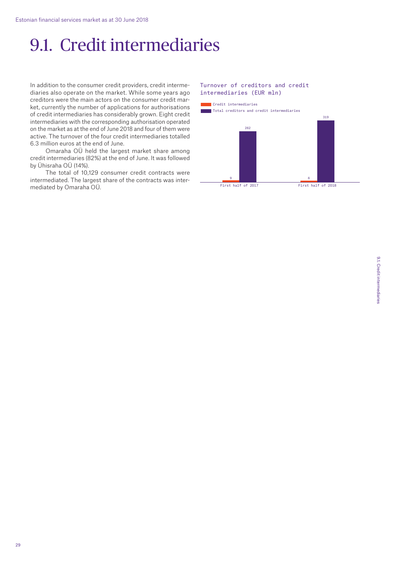# 9.1. Credit intermediaries

In addition to the consumer credit providers, credit intermediaries also operate on the market. While some years ago creditors were the main actors on the consumer credit market, currently the number of applications for authorisations of credit intermediaries has considerably grown. Eight credit intermediaries with the corresponding authorisation operated on the market as at the end of June 2018 and four of them were active. The turnover of the four credit intermediaries totalled 6.3 million euros at the end of June.

Omaraha OÜ held the largest market share among credit intermediaries (82%) at the end of June. It was followed by Ühisraha OÜ (14%).

The total of 10,129 consumer credit contracts were intermediated. The largest share of the contracts was intermediated by Omaraha OÜ.

#### Turnover of creditors and credit intermediaries (EUR mln)

Credit intermediaries

Total creditors and credit intermediaries